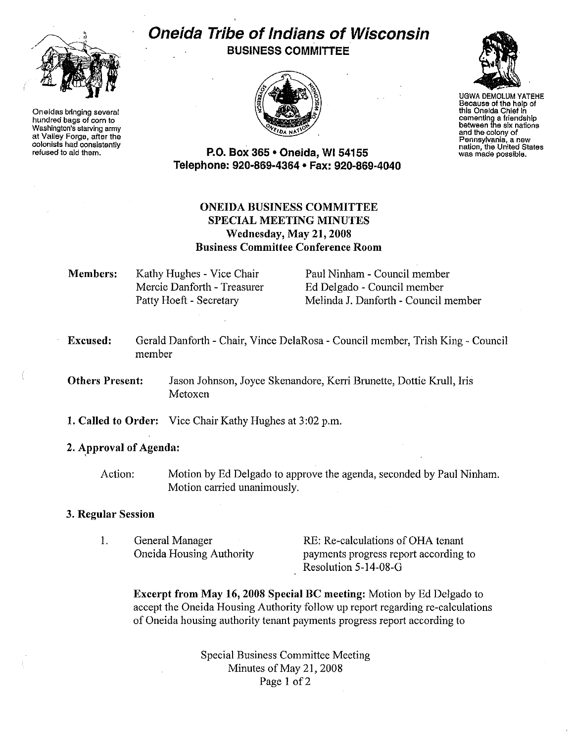

Oneidas bringing several hundred bags of corn to Washington's starving army at Valley Forge, after the colonists had conslstenily refused to aid them.

# Oneida Tribe of Indians of Wisconsin BUSINESS COMMITTEE



UGWA DEMOLUM YATEHE Because of the help of this Oneida Chief In cementing a friendship between the six nations and the colony of Pennsylvania, a new<br>nation, the United States<br>was made possible.

P.O. Box 365 • Oneida, WI 54155 Telephone: 920-869-4364 • Fax: 920-869-4040

# ONEIDA BUSINESS COMMITTEE SPECIAL MEETING MINUTES Wednesday, May 21,2008 Business Committee Conference Room

Members: Kathy Hughes - Vice Chair Mercie Danforth - Treasurer Patty Hoeft - Secretary

Paul Ninham - Council member Ed Delgado - Council member Melinda J. Danforth - Council member

Excused: Gerald Danforth - Chair, Vince DelaRosa- Council member, Trish King- Council member

Others Present: Jason Johnson, Joyce Skenandore, Kerri Brunette, Dottie Krull, Iris Metoxen

- 1. Called to Order: Vice Chair Kathy Hughes at 3:02 p.m.
- 2. Approval of Agenda:

Action: Motion by Ed Delgado to approve the agenda, seconded by Paul Ninham. Motion carried unanimously.

## 3. Regular Session

1. General Manager Oneida Housing Authority RE: Re-calculations of OHA tenant payments progress report according to Resolution 5-14-08-G

Excerpt from May 16, 2008 Special BC meeting: Motion by Ed Delgado to accept the Oneida Housing Authority follow up report regarding re-calculations of Oneida housing authority tenant payments progress report according to

> Special Business Committee Meeting Minutes of May 21, 2008 Page 1 of 2